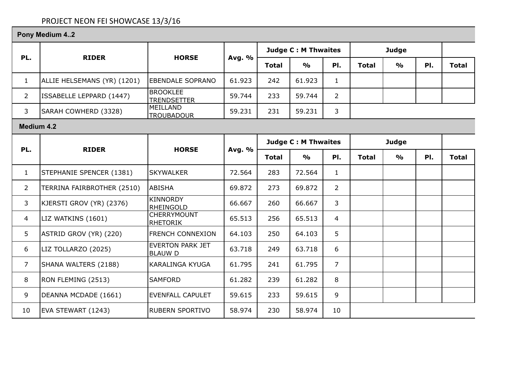# PROJECT NEON FEI SHOWCASE 13/3/16

|                | Pony Medium 42              |                                           |        |                            |                            |                |              |               |     |              |
|----------------|-----------------------------|-------------------------------------------|--------|----------------------------|----------------------------|----------------|--------------|---------------|-----|--------------|
|                |                             |                                           |        | <b>Judge C: M Thwaites</b> |                            |                | <b>Judge</b> |               |     |              |
| PL.            | <b>RIDER</b>                | <b>HORSE</b>                              | Avg. % | <b>Total</b>               | $\frac{0}{0}$              | PI.            | <b>Total</b> | $\frac{0}{0}$ | PI. | <b>Total</b> |
| $\mathbf{1}$   | ALLIE HELSEMANS (YR) (1201) | <b>EBENDALE SOPRANO</b>                   | 61.923 | 242                        | 61.923                     | $\mathbf{1}$   |              |               |     |              |
| $\overline{2}$ | ISSABELLE LEPPARD (1447)    | <b>BROOKLEE</b><br><b>TRENDSETTER</b>     | 59.744 | 233                        | 59.744                     | $\overline{2}$ |              |               |     |              |
| 3              | SARAH COWHERD (3328)        | MEILLAND<br><b>TROUBADOUR</b>             | 59.231 | 231                        | 59.231                     | 3              |              |               |     |              |
|                | <b>Medium 4.2</b>           |                                           |        |                            |                            |                |              |               |     |              |
|                |                             |                                           |        |                            | <b>Judge C: M Thwaites</b> |                |              | <b>Judge</b>  |     |              |
| PL.            | <b>RIDER</b>                | <b>HORSE</b>                              | Avg. % | <b>Total</b>               | $\frac{1}{2}$              | PI.            | <b>Total</b> | $\frac{0}{0}$ | PI. | <b>Total</b> |
| $\mathbf{1}$   | STEPHANIE SPENCER (1381)    | <b>SKYWALKER</b>                          | 72.564 | 283                        | 72.564                     | $\mathbf{1}$   |              |               |     |              |
| $\overline{2}$ | TERRINA FAIRBROTHER (2510)  | ABISHA                                    | 69.872 | 273                        | 69.872                     | $\overline{2}$ |              |               |     |              |
| 3              | KJERSTI GROV (YR) (2376)    | KINNORDY<br>RHEINGOLD                     | 66.667 | 260                        | 66.667                     | 3              |              |               |     |              |
| 4              | LIZ WATKINS (1601)          | <b>CHERRYMOUNT</b><br>RHETORIK            | 65.513 | 256                        | 65.513                     | $\overline{4}$ |              |               |     |              |
| 5              | ASTRID GROV (YR) (220)      | <b>FRENCH CONNEXION</b>                   | 64.103 | 250                        | 64.103                     | 5              |              |               |     |              |
| 6              | LIZ TOLLARZO (2025)         | <b>EVERTON PARK JET</b><br><b>BLAUW D</b> | 63.718 | 249                        | 63.718                     | 6              |              |               |     |              |
| $\overline{7}$ | SHANA WALTERS (2188)        | <b>KARALINGA KYUGA</b>                    | 61.795 | 241                        | 61.795                     | $\overline{7}$ |              |               |     |              |
| 8              | RON FLEMING (2513)          | <b>SAMFORD</b>                            | 61.282 | 239                        | 61.282                     | 8              |              |               |     |              |
| 9              | DEANNA MCDADE (1661)        | <b>EVENFALL CAPULET</b>                   | 59.615 | 233                        | 59.615                     | 9              |              |               |     |              |
| 10             | EVA STEWART (1243)          | <b>RUBERN SPORTIVO</b>                    | 58.974 | 230                        | 58.974                     | 10             |              |               |     |              |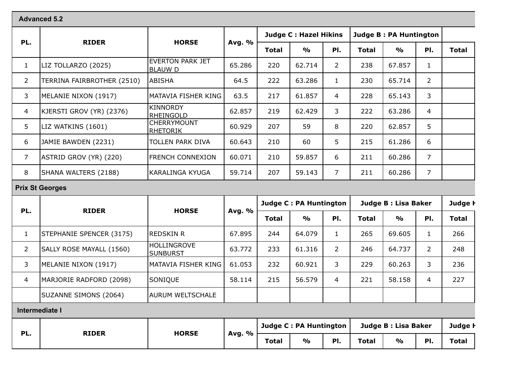#### **Advanced 5.2**

|                | <b>RIDER</b>               | <b>HORSE</b>                          | Avg. % |              | <b>Judge C: Hazel Hikins</b> |                | <b>Judge B: PA Huntington</b> |               |                |              |
|----------------|----------------------------|---------------------------------------|--------|--------------|------------------------------|----------------|-------------------------------|---------------|----------------|--------------|
| PL.            |                            |                                       |        | <b>Total</b> | $\frac{0}{0}$                | PI.            | <b>Total</b>                  | $\frac{0}{0}$ | PI.            | <b>Total</b> |
| $\mathbf{1}$   | LIZ TOLLARZO (2025)        | <b>EVERTON PARK JET</b><br> BLAUW D   | 65.286 | 220          | 62.714                       | $\overline{2}$ | 238                           | 67.857        | 1              |              |
| $\overline{2}$ | TERRINA FAIRBROTHER (2510) | ABISHA                                | 64.5   | 222          | 63.286                       |                | 230                           | 65.714        | $\overline{2}$ |              |
| 3              | MELANIE NIXON (1917)       | MATAVIA FISHER KING                   | 63.5   | 217          | 61.857                       | $\overline{4}$ | 228                           | 65.143        | 3              |              |
| 4              | KJERSTI GROV (YR) (2376)   | KINNORDY<br><b>RHEINGOLD</b>          | 62.857 | 219          | 62.429                       | 3              | 222                           | 63.286        | 4              |              |
| 5              | LIZ WATKINS (1601)         | <b>CHERRYMOUNT</b><br><b>RHETORIK</b> | 60.929 | 207          | 59                           | 8              | 220                           | 62.857        | 5 <sup>5</sup> |              |
| 6              | JAMIE BAWDEN (2231)        | <b>TOLLEN PARK DIVA</b>               | 60.643 | 210          | 60                           | 5              | 215                           | 61.286        | 6              |              |
| $\overline{7}$ | ASTRID GROV (YR) (220)     | FRENCH CONNEXION                      | 60.071 | 210          | 59.857                       | 6              | 211                           | 60.286        | $\overline{7}$ |              |
| 8              | SHANA WALTERS (2188)       | KARALINGA KYUGA                       | 59.714 | 207          | 59.143                       | $\overline{7}$ | 211                           | 60.286        | 7              |              |

#### **Prix St Georges**

| PL.            |                          | <b>HORSE</b>                   |        | <b>Judge C: PA Huntington</b> |               |                | Judge B : Lisa Baker | Judge <b>F</b> |                |              |
|----------------|--------------------------|--------------------------------|--------|-------------------------------|---------------|----------------|----------------------|----------------|----------------|--------------|
|                | <b>RIDER</b>             |                                | Avg. % | <b>Total</b>                  | $\frac{1}{2}$ | PI.            | <b>Total</b>         | $\frac{1}{2}$  | PI.            | <b>Total</b> |
|                | STEPHANIE SPENCER (3175) | <b>REDSKIN R</b>               | 67.895 | 244                           | 64.079        |                | 265                  | 69.605         |                | 266          |
|                | SALLY ROSE MAYALL (1560) | HOLLINGROVE<br><b>SUNBURST</b> | 63.772 | 233                           | 61.316        |                | 246                  | 64.737         | $\overline{2}$ | 248          |
| 3              | MELANIE NIXON (1917)     | MATAVIA FISHER KING            | 61.053 | 232                           | 60.921        | 3              | 229                  | 60.263         | 3              | 236          |
| 4              | MARJORIE RADFORD (2098)  | <b>SONIQUE</b>                 | 58.114 | 215                           | 56.579        | $\overline{4}$ | 221                  | 58.158         | 4              | 227          |
|                | SUZANNE SIMONS (2064)    | AURUM WELTSCHALE               |        |                               |               |                |                      |                |                |              |
| Intermediate I |                          |                                |        |                               |               |                |                      |                |                |              |

| DI. |              |              |      | %            |               | Judge C : PA Huntington |              |               | Judge B : Lisa Baker |       | Judge l |
|-----|--------------|--------------|------|--------------|---------------|-------------------------|--------------|---------------|----------------------|-------|---------|
|     | <b>RIDER</b> | <b>HORSE</b> | Avg. | <b>Total</b> | $\frac{1}{2}$ | PI.                     | <b>Total</b> | $\frac{1}{2}$ | PI.                  | Total |         |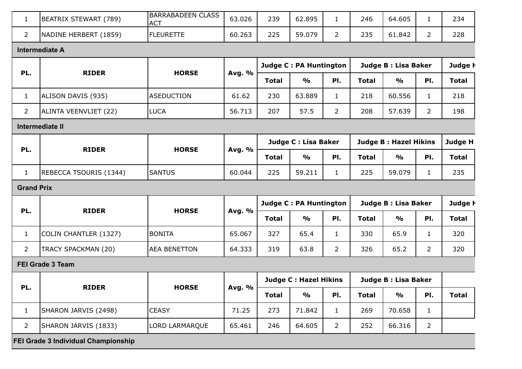| $\mathbf{1}$      | BEATRIX STEWART (789)                      | <b>BARRABADEEN CLASS</b><br><b>ACT</b> | 63.026 | 239          | 62.895                       | $\mathbf{1}$                  | 246          | 64.605                       | $\mathbf{1}$         | 234            |                |
|-------------------|--------------------------------------------|----------------------------------------|--------|--------------|------------------------------|-------------------------------|--------------|------------------------------|----------------------|----------------|----------------|
| $\overline{2}$    | NADINE HERBERT (1859)                      | <b>FLEURETTE</b>                       | 60.263 | 225          | 59.079                       | $\overline{2}$                | 235          | 61.842                       | $\overline{2}$       | 228            |                |
|                   | <b>Intermediate A</b>                      |                                        |        |              |                              |                               |              |                              |                      |                |                |
|                   |                                            |                                        |        |              | Judge C : PA Huntington      |                               |              | Judge B: Lisa Baker          |                      | Judge <b>H</b> |                |
| PL.               | <b>RIDER</b>                               | <b>HORSE</b>                           | Avg. % | <b>Total</b> | $\frac{1}{2}$                | PI.                           | <b>Total</b> | $\frac{1}{2}$                | PI.                  | <b>Total</b>   |                |
| $\mathbf{1}$      | ALISON DAVIS (935)                         | <b>ASEDUCTION</b>                      | 61.62  | 230          | 63.889                       | $\mathbf{1}$                  | 218          | 60.556                       | $\mathbf{1}$         | 218            |                |
| $\overline{2}$    | ALINTA VEENVLIET (22)                      | <b>LUCA</b>                            | 56.713 | 207          | 57.5                         | $2^{\circ}$                   | 208          | 57.639                       | $\overline{2}$       | 198            |                |
|                   | Intermediate II                            |                                        |        |              |                              |                               |              |                              |                      |                |                |
|                   |                                            |                                        |        |              | Judge C : Lisa Baker         |                               |              | <b>Judge B: Hazel Hikins</b> |                      | Judge H        |                |
| PL.               | <b>RIDER</b>                               | <b>HORSE</b>                           | Avg. % | <b>Total</b> | $\frac{0}{0}$                | PI.                           | <b>Total</b> | $\frac{1}{2}$                | PI.                  | <b>Total</b>   |                |
| $\mathbf{1}$      | REBECCA TSOURIS (1344)                     | <b>SANTUS</b>                          | 60.044 | 225          | 59.211                       | $\mathbf{1}$                  | 225          | 59.079                       | $\mathbf{1}$         | 235            |                |
| <b>Grand Prix</b> |                                            |                                        |        |              |                              |                               |              |                              |                      |                |                |
|                   |                                            |                                        |        |              |                              | <b>Judge C: PA Huntington</b> |              |                              | Judge B : Lisa Baker |                | Judge <b>h</b> |
| PL.               | <b>RIDER</b>                               | <b>HORSE</b>                           | Avg. % | <b>Total</b> | $\frac{0}{0}$                | PI.                           | <b>Total</b> | $\frac{1}{2}$                | PI.                  | <b>Total</b>   |                |
| $\mathbf{1}$      | COLIN CHANTLER (1327)                      | <b>BONITA</b>                          | 65.067 | 327          | 65.4                         | $\mathbf{1}$                  | 330          | 65.9                         | $\mathbf{1}$         | 320            |                |
| $\overline{2}$    | TRACY SPACKMAN (20)                        | <b>AEA BENETTON</b>                    | 64.333 | 319          | 63.8                         | $\overline{2}$                | 326          | 65.2                         | $\overline{2}$       | 320            |                |
|                   | <b>FEI Grade 3 Team</b>                    |                                        |        |              |                              |                               |              |                              |                      |                |                |
|                   |                                            |                                        |        |              | <b>Judge C: Hazel Hikins</b> |                               |              | Judge B: Lisa Baker          |                      |                |                |
| PL.               | <b>RIDER</b>                               | <b>HORSE</b>                           | Avg. % | <b>Total</b> | $\frac{1}{2}$                | PI.                           | <b>Total</b> | $\frac{1}{2}$                | PI.                  | <b>Total</b>   |                |
| $\mathbf{1}$      | SHARON JARVIS (2498)                       | <b>CEASY</b>                           | 71.25  | 273          | 71.842                       | $\mathbf{1}$                  | 269          | 70.658                       | $\mathbf{1}$         |                |                |
| $\overline{2}$    | SHARON JARVIS (1833)                       | LORD LARMARQUE                         | 65.461 | 246          | 64.605                       | $\overline{2}$                | 252          | 66.316                       | $\overline{2}$       |                |                |
|                   | <b>FEI Grade 3 Individual Championship</b> |                                        |        |              |                              |                               |              |                              |                      |                |                |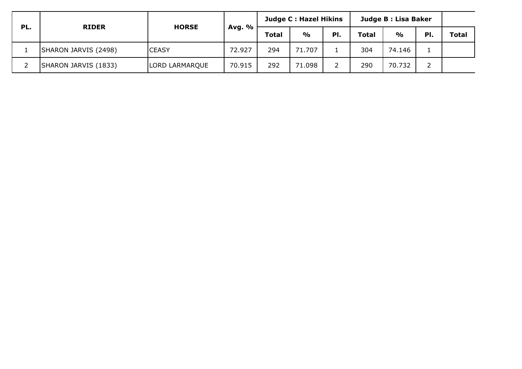|     |                      |                |        | Judge C : Hazel Hikins |               |     | Judge B : Lisa Baker |               |     |              |
|-----|----------------------|----------------|--------|------------------------|---------------|-----|----------------------|---------------|-----|--------------|
| PL. | <b>RIDER</b>         | <b>HORSE</b>   | Avg. % | <b>Total</b>           | $\frac{1}{2}$ | PI. | <b>Total</b>         | $\frac{1}{2}$ | PI. | <b>Total</b> |
|     | SHARON JARVIS (2498) | <b>CEASY</b>   | 72.927 | 294                    | 71.707        |     | 304                  | 74.146        |     |              |
|     | SHARON JARVIS (1833) | LORD LARMARQUE | 70.915 | 292                    | 71.098        |     | 290                  | 70.732        |     |              |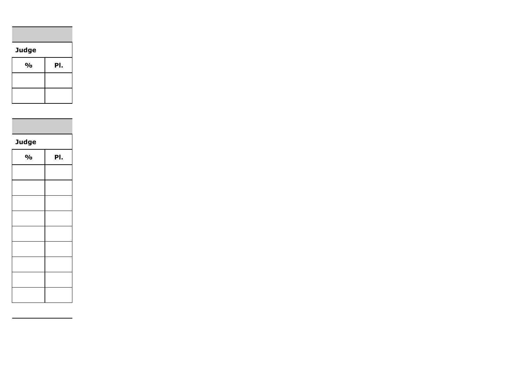## **Judge**

| $\frac{1}{2}$ | PI. |
|---------------|-----|
|               |     |
|               |     |

**Judge** 

| $\mathsf{o}\!/\mathsf{o}$ | PI. |
|---------------------------|-----|
|                           |     |
|                           |     |
|                           |     |
|                           |     |
|                           |     |
|                           |     |
|                           |     |
|                           |     |
|                           |     |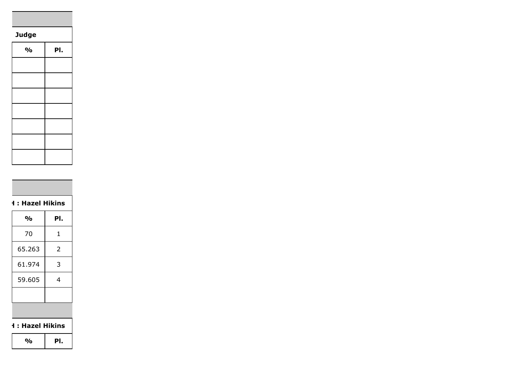## **Judge**

| $\frac{1}{2}$ | PI. |
|---------------|-----|
|               |     |
|               |     |
|               |     |
|               |     |
|               |     |
|               |     |
|               |     |

# **Judge H : Hazel Hikins**

| %      | PI. |
|--------|-----|
| 70     | 1   |
| 65.263 | 2   |
| 61.974 | 3   |
| 59.605 | 4   |
|        |     |
|        |     |

#### **H** : Hazel Hikins

**% Pl.**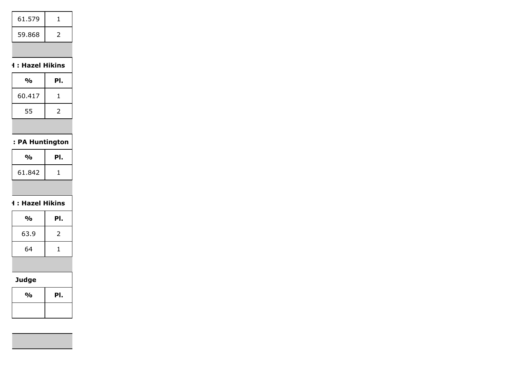| 61.579 |   |
|--------|---|
| 59.868 | 2 |
|        |   |

## **Judge H : Hazel Hikins**

| %      | PI. |
|--------|-----|
| 60.417 | ı   |
| 55     | 2   |
|        |     |

## **: PA Huntington**

| $\frac{1}{2}$ | PI. |
|---------------|-----|
| 61.842        |     |
|               |     |

## **H** : Hazel Hikins

| $\frac{1}{2}$ | PI. |
|---------------|-----|
| 63.9          | 2   |
| 64            | 1   |
|               |     |

# **Judge**

| $\frac{1}{2}$ | PI. |
|---------------|-----|
|               |     |